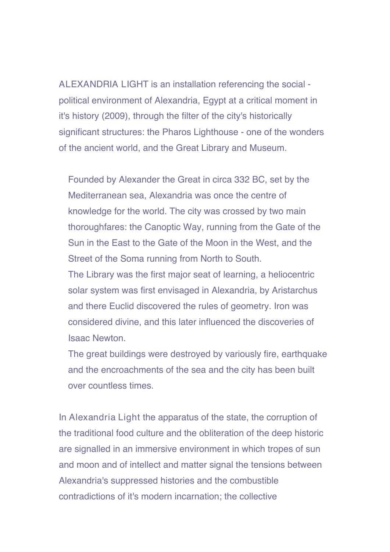ALEXANDRIA LIGHT is an installation referencing the social political environment of Alexandria, Egypt at a critical moment in it's history (2009), through the filter of the city's historically significant structures: the Pharos Lighthouse - one of the wonders of the ancient world, and the Great Library and Museum.

Founded by Alexander the Great in circa 332 BC, set by the Mediterranean sea, Alexandria was once the centre of knowledge for the world. The city was crossed by two main thoroughfares: the Canoptic Way, running from the Gate of the Sun in the East to the Gate of the Moon in the West, and the Street of the Soma running from North to South. The Library was the first major seat of learning, a heliocentric solar system was first envisaged in Alexandria, by Aristarchus and there Euclid discovered the rules of geometry. Iron was considered divine, and this later influenced the discoveries of

Isaac Newton.

The great buildings were destroyed by variously fire, earthquake and the encroachments of the sea and the city has been built over countless times.

In Alexandria Light the apparatus of the state, the corruption of the traditional food culture and the obliteration of the deep historic are signalled in an immersive environment in which tropes of sun and moon and of intellect and matter signal the tensions between Alexandria's suppressed histories and the combustible contradictions of it's modern incarnation; the collective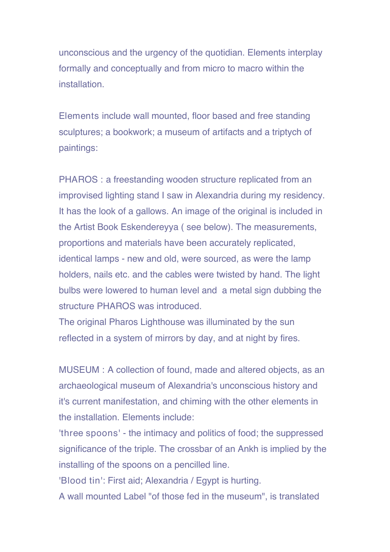unconscious and the urgency of the quotidian. Elements interplay formally and conceptually and from micro to macro within the installation.

Elements include wall mounted, floor based and free standing sculptures; a bookwork; a museum of artifacts and a triptych of paintings:

PHAROS : a freestanding wooden structure replicated from an improvised lighting stand I saw in Alexandria during my residency. It has the look of a gallows. An image of the original is included in the Artist Book Eskendereyya ( see below). The measurements, proportions and materials have been accurately replicated, identical lamps - new and old, were sourced, as were the lamp holders, nails etc. and the cables were twisted by hand. The light bulbs were lowered to human level and a metal sign dubbing the structure PHAROS was introduced.

The original Pharos Lighthouse was illuminated by the sun reflected in a system of mirrors by day, and at night by fires.

MUSEUM : A collection of found, made and altered objects, as an archaeological museum of Alexandria's unconscious history and it's current manifestation, and chiming with the other elements in the installation. Elements include:

'three spoons' - the intimacy and politics of food; the suppressed significance of the triple. The crossbar of an Ankh is implied by the installing of the spoons on a pencilled line.

'Blood tin': First aid; Alexandria / Egypt is hurting.

A wall mounted Label "of those fed in the museum" , is translated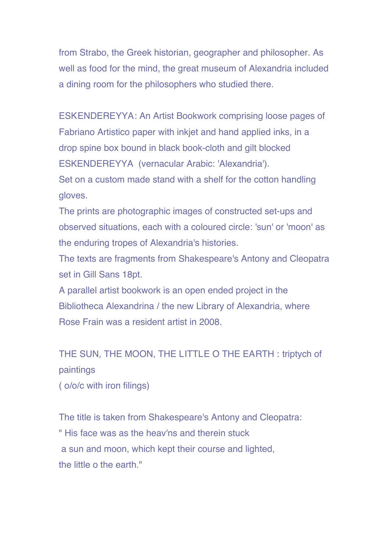from Strabo, the Greek historian, geographer and philosopher. As well as food for the mind, the great museum of Alexandria included a dining room for the philosophers who studied there.

ESKENDEREYYA: An Artist Bookwork comprising loose pages of Fabriano Artistico paper with inkjet and hand applied inks, in a drop spine box bound in black book-cloth and gilt blocked ESKENDEREYYA (vernacular Arabic: 'Alexandria'). Set on a custom made stand with a shelf for the cotton handling gloves.

The prints are photographic images of constructed set-ups and observed situations, each with a coloured circle: 'sun' or 'moon' as the enduring tropes of Alexandria's histories.

The texts are fragments from Shakespeare's Antony and Cleopatra set in Gill Sans 18pt.

A parallel artist bookwork is an open ended project in the Bibliotheca Alexandrina / the new Library of Alexandria, where Rose Frain was a resident artist in 2008.

THE SUN, THE MOON, THE LITTLE O THE EARTH : triptych of paintings

( o/o/c with iron filings)

The title is taken from Shakespeare's Antony and Cleopatra: " His face was as the heav'ns and therein stuck a sun and moon, which kept their course and lighted, the little o the earth."